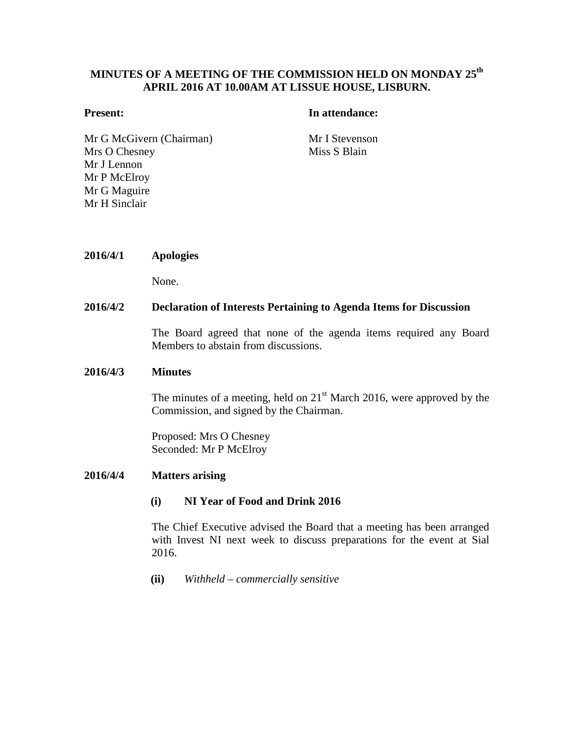# **MINUTES OF A MEETING OF THE COMMISSION HELD ON MONDAY 25th APRIL 2016 AT 10.00AM AT LISSUE HOUSE, LISBURN.**

#### **Present: In attendance:**

Mr G McGivern (Chairman) Mr I Stevenson Mrs O Chesney Mr J Lennon Mr P McElroy Mr G Maguire Mr H Sinclair

Miss S Blain

#### **2016/4/1 Apologies**

None.

#### **2016/4/2 Declaration of Interests Pertaining to Agenda Items for Discussion**

The Board agreed that none of the agenda items required any Board Members to abstain from discussions.

#### **2016/4/3 Minutes**

The minutes of a meeting, held on  $21<sup>st</sup>$  March 2016, were approved by the Commission, and signed by the Chairman.

Proposed: Mrs O Chesney Seconded: Mr P McElroy

#### **2016/4/4 Matters arising**

#### **(i) NI Year of Food and Drink 2016**

The Chief Executive advised the Board that a meeting has been arranged with Invest NI next week to discuss preparations for the event at Sial 2016.

**(ii)** *Withheld – commercially sensitive*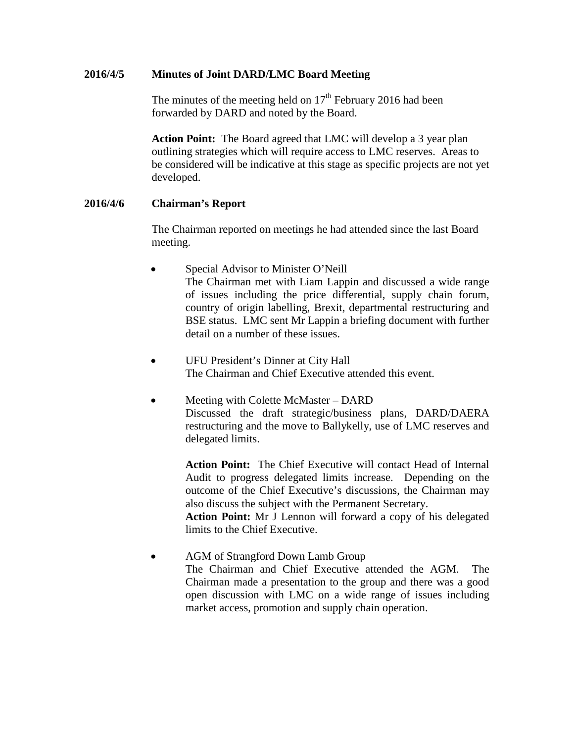## **2016/4/5 Minutes of Joint DARD/LMC Board Meeting**

The minutes of the meeting held on  $17<sup>th</sup>$  February 2016 had been forwarded by DARD and noted by the Board.

**Action Point:** The Board agreed that LMC will develop a 3 year plan outlining strategies which will require access to LMC reserves. Areas to be considered will be indicative at this stage as specific projects are not yet developed.

## **2016/4/6 Chairman's Report**

The Chairman reported on meetings he had attended since the last Board meeting.

- Special Advisor to Minister O'Neill The Chairman met with Liam Lappin and discussed a wide range of issues including the price differential, supply chain forum, country of origin labelling, Brexit, departmental restructuring and BSE status. LMC sent Mr Lappin a briefing document with further detail on a number of these issues.
- UFU President's Dinner at City Hall The Chairman and Chief Executive attended this event.
- Meeting with Colette McMaster DARD Discussed the draft strategic/business plans, DARD/DAERA restructuring and the move to Ballykelly, use of LMC reserves and delegated limits.

**Action Point:** The Chief Executive will contact Head of Internal Audit to progress delegated limits increase. Depending on the outcome of the Chief Executive's discussions, the Chairman may also discuss the subject with the Permanent Secretary.

**Action Point:** Mr J Lennon will forward a copy of his delegated limits to the Chief Executive.

• AGM of Strangford Down Lamb Group The Chairman and Chief Executive attended the AGM. The Chairman made a presentation to the group and there was a good open discussion with LMC on a wide range of issues including market access, promotion and supply chain operation.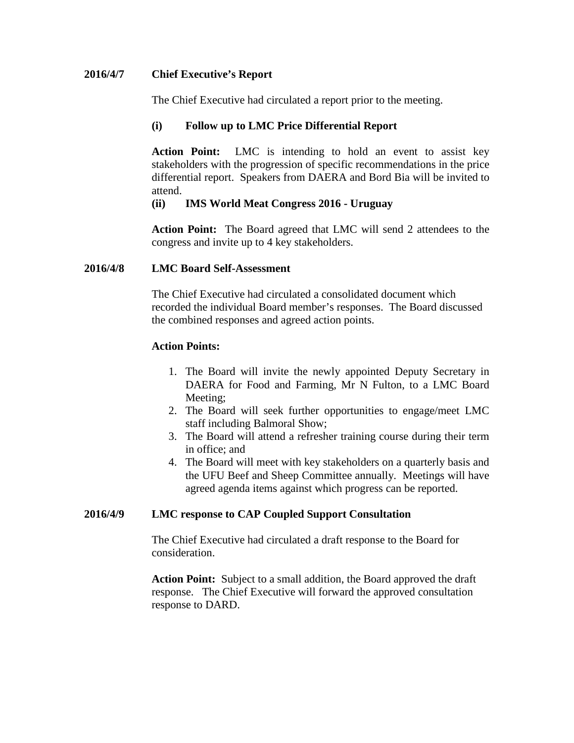## **2016/4/7 Chief Executive's Report**

The Chief Executive had circulated a report prior to the meeting.

## **(i) Follow up to LMC Price Differential Report**

**Action Point:** LMC is intending to hold an event to assist key stakeholders with the progression of specific recommendations in the price differential report. Speakers from DAERA and Bord Bia will be invited to attend.

## **(ii) IMS World Meat Congress 2016 - Uruguay**

**Action Point:** The Board agreed that LMC will send 2 attendees to the congress and invite up to 4 key stakeholders.

## **2016/4/8 LMC Board Self-Assessment**

The Chief Executive had circulated a consolidated document which recorded the individual Board member's responses. The Board discussed the combined responses and agreed action points.

## **Action Points:**

- 1. The Board will invite the newly appointed Deputy Secretary in DAERA for Food and Farming, Mr N Fulton, to a LMC Board Meeting;
- 2. The Board will seek further opportunities to engage/meet LMC staff including Balmoral Show;
- 3. The Board will attend a refresher training course during their term in office; and
- 4. The Board will meet with key stakeholders on a quarterly basis and the UFU Beef and Sheep Committee annually. Meetings will have agreed agenda items against which progress can be reported.

## **2016/4/9 LMC response to CAP Coupled Support Consultation**

The Chief Executive had circulated a draft response to the Board for consideration.

**Action Point:** Subject to a small addition, the Board approved the draft response. The Chief Executive will forward the approved consultation response to DARD.